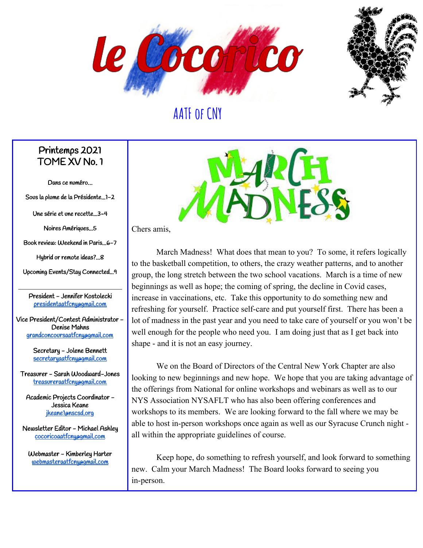



#### Printemps 2021 TOME XV No. 1

Dans ce numéro…

Sous la plume de la Présidente...1-2

Une série et une recette...3-4

Noires Amériques...5

Book review: Weekend in Paris...6-7

Hybrid or remote ideas?...8

Upcoming Events/Stay Connected...9

President - Jennifer Kostolecki [presidentaatfcny@gmail.com](mailto:presidentaatfcny@gmail.com)

Vice President/Contest Administrator - Denise Mahns [grandconcoursaatfcny@gmail.com](mailto:grandconcoursaatfcny@gmail.com)

> Secretary - Jolene Bennett [secretaryaatfcny@gmail.com](mailto:secretaryaatfcny@gmail.com)

Treasurer - Sarah Woodward-Jones [treasureraatfcny@gmail.com](mailto:treasureraatfcny@gmail.com)

Academic Projects Coordinator - Jessica Keane [jkeane1@nscsd.org](mailto:jkeane1@nscsd.org)

Newsletter Editor - Michael Ashley [cocoricoaatfcny@gmail.com](mailto:cocoricoaatfcny@gmail.com)

Webmaster - Kimberley Harter [webmasteraatfcny@gmail.com](mailto:webmasteraatfcny@gmail.com)



Chers amis,

March Madness! What does that mean to you? To some, it refers logically to the basketball competition, to others, the crazy weather patterns, and to another group, the long stretch between the two school vacations. March is a time of new beginnings as well as hope; the coming of spring, the decline in Covid cases, increase in vaccinations, etc. Take this opportunity to do something new and refreshing for yourself. Practice self-care and put yourself first. There has been a lot of madness in the past year and you need to take care of yourself or you won't be well enough for the people who need you. I am doing just that as I get back into shape - and it is not an easy journey.

We on the Board of Directors of the Central New York Chapter are also looking to new beginnings and new hope. We hope that you are taking advantage of the offerings from National for online workshops and webinars as well as to our NYS Association NYSAFLT who has also been offering conferences and workshops to its members. We are looking forward to the fall where we may be able to host in-person workshops once again as well as our Syracuse Crunch night all within the appropriate guidelines of course.

Keep hope, do something to refresh yourself, and look forward to something new. Calm your March Madness! The Board looks forward to seeing you in-person.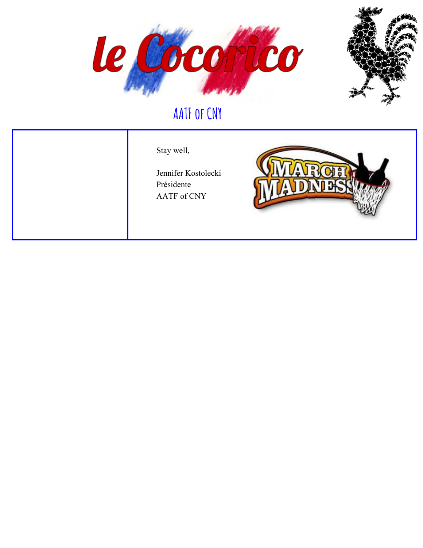



Stay well,

Jennifer Kostolecki Présidente AATF of CNY

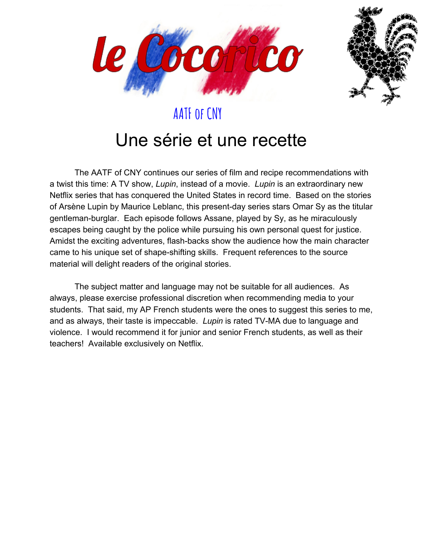



# Une série et une recette

The AATF of CNY continues our series of film and recipe recommendations with a twist this time: A TV show, *Lupin*, instead of a movie. *Lupin* is an extraordinary new Netflix series that has conquered the United States in record time. Based on the stories of Arsène Lupin by Maurice Leblanc, this present-day series stars Omar Sy as the titular gentleman-burglar. Each episode follows Assane, played by Sy, as he miraculously escapes being caught by the police while pursuing his own personal quest for justice. Amidst the exciting adventures, flash-backs show the audience how the main character came to his unique set of shape-shifting skills. Frequent references to the source material will delight readers of the original stories.

The subject matter and language may not be suitable for all audiences. As always, please exercise professional discretion when recommending media to your students. That said, my AP French students were the ones to suggest this series to me, and as always, their taste is impeccable. *Lupin* is rated TV-MA due to language and violence. I would recommend it for junior and senior French students, as well as their teachers! Available exclusively on Netflix.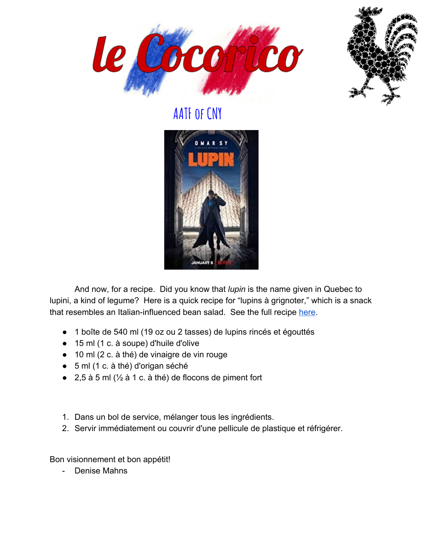





And now, for a recipe. Did you know that *lupin* is the name given in Quebec to lupini, a kind of legume? Here is a quick recipe for "lupins à grignoter," which is a snack that resembles an Italian-influenced bean salad. See the full recipe [here.](https://cuisinez.telequebec.tv/recettes/2666/lupins-a-grignoter)

- 1 boîte de 540 ml (19 oz ou 2 tasses) de lupins rincés et égouttés
- 15 ml (1 c. à soupe) d'huile d'olive
- 10 ml (2 c. à thé) de vinaigre de vin rouge
- 5 ml (1 c. à thé) d'origan séché
- 2,5 à 5 ml  $\frac{1}{2}$  à 1 c. à thé) de flocons de piment fort
- 1. Dans un bol de service, mélanger tous les ingrédients.
- 2. Servir immédiatement ou couvrir d'une pellicule de plastique et réfrigérer.

Bon visionnement et bon appétit!

- Denise Mahns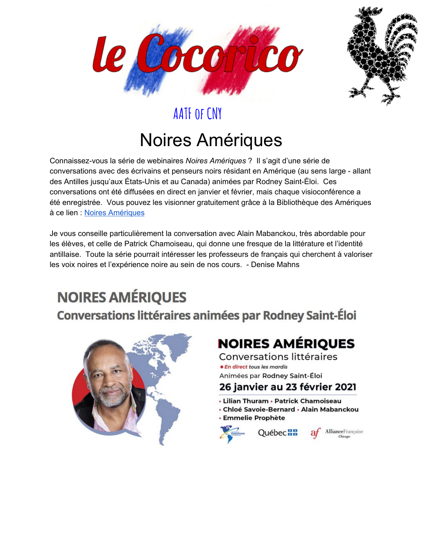



# Noires Amériques

Connaissez-vous la série de webinaires *Noires Amériques* ? Il s'agit d'une série de conversations avec des écrivains et penseurs noirs résidant en Amérique (au sens large - allant des Antilles jusqu'aux États-Unis et au Canada) animées par Rodney Saint-Éloi. Ces conversations ont été diffusées en direct en janvier et février, mais chaque visioconférence a été enregistrée. Vous pouvez les visionner gratuitement grâce à la Bibliothèque des Amériques à ce lien : Noires [Amériques](https://www.bibliothequedesameriques.com/programmation/noires-ameriques)

Je vous conseille particulièrement la conversation avec Alain Mabanckou, très abordable pour les élèves, et celle de Patrick Chamoiseau, qui donne une fresque de la littérature et l'identité antillaise. Toute la série pourrait intéresser les professeurs de français qui cherchent à valoriser les voix noires et l'expérience noire au sein de nos cours. - Denise Mahns

# **NOIRES AMÉRIQUES**

**Conversations littéraires animées par Rodney Saint-Éloi** 



## **NOIRES AMÉRIQUES**

Conversations littéraires · En direct tous les mardis Animées par Rodney Saint-Éloi

#### 26 janvier au 23 février 2021

• Lilian Thuram • Patrick Chamoiseau

Québec<sup>88</sup>

- Chloé Savoie-Bernard Alain Mabanckou
- **Emmelie Prophète**



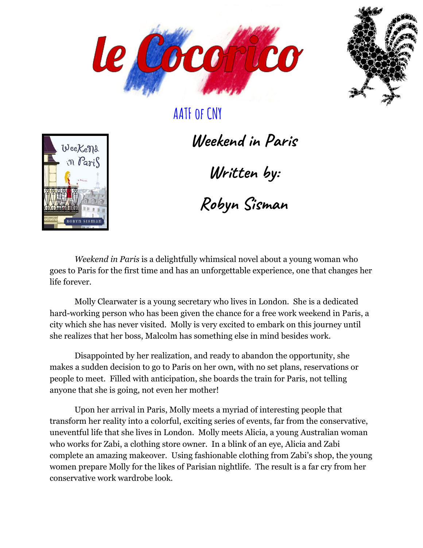



Weekens n Paris

**Weekend in Paris**

**Written by:**

**Robyn Sisman**

*Weekend in Paris* is a delightfully whimsical novel about a young woman who goes to Paris for the first time and has an unforgettable experience, one that changes her life forever.

Molly Clearwater is a young secretary who lives in London. She is a dedicated hard-working person who has been given the chance for a free work weekend in Paris, a city which she has never visited. Molly is very excited to embark on this journey until she realizes that her boss, Malcolm has something else in mind besides work.

Disappointed by her realization, and ready to abandon the opportunity, she makes a sudden decision to go to Paris on her own, with no set plans, reservations or people to meet. Filled with anticipation, she boards the train for Paris, not telling anyone that she is going, not even her mother!

Upon her arrival in Paris, Molly meets a myriad of interesting people that transform her reality into a colorful, exciting series of events, far from the conservative, uneventful life that she lives in London. Molly meets Alicia, a young Australian woman who works for Zabi, a clothing store owner. In a blink of an eye, Alicia and Zabi complete an amazing makeover. Using fashionable clothing from Zabi's shop, the young women prepare Molly for the likes of Parisian nightlife. The result is a far cry from her conservative work wardrobe look.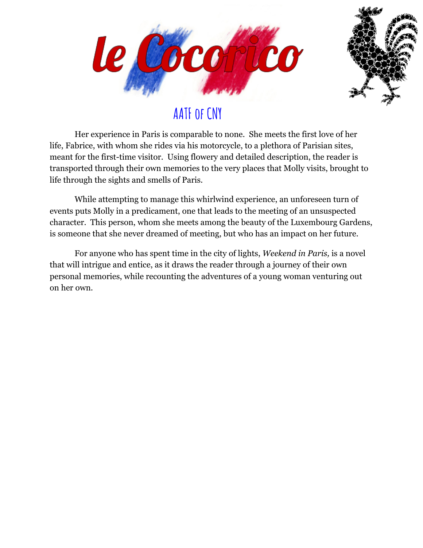



Her experience in Paris is comparable to none. She meets the first love of her life, Fabrice, with whom she rides via his motorcycle, to a plethora of Parisian sites, meant for the first-time visitor. Using flowery and detailed description, the reader is transported through their own memories to the very places that Molly visits, brought to life through the sights and smells of Paris.

While attempting to manage this whirlwind experience, an unforeseen turn of events puts Molly in a predicament, one that leads to the meeting of an unsuspected character. This person, whom she meets among the beauty of the Luxembourg Gardens, is someone that she never dreamed of meeting, but who has an impact on her future.

For anyone who has spent time in the city of lights, *Weekend in Paris,* is a novel that will intrigue and entice, as it draws the reader through a journey of their own personal memories, while recounting the adventures of a young woman venturing out on her own.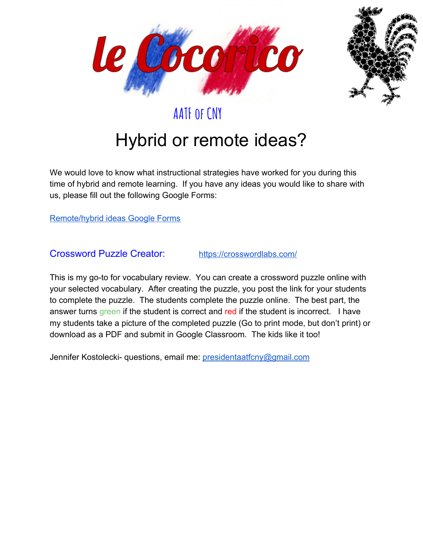



# Hybrid or remote ideas?

We would love to know what instructional strategies have worked for you during this time of hybrid and remote learning. If you have any ideas you would like to share with us, please fill out the following Google Forms:

[Remote/hybrid ideas Google Forms](https://docs.google.com/forms/d/e/1FAIpQLSetrqHEgtzF3kuS6edrJYZQaKWKj3f6K7uazSwV6L0zp52PvQ/viewform?usp=sf_link)

Crossword Puzzle Creator: <https://crosswordlabs.com/>

This is my go-to for vocabulary review. You can create a crossword puzzle online with your selected vocabulary. After creating the puzzle, you post the link for your students to complete the puzzle. The students complete the puzzle online. The best part, the answer turns green if the student is correct and red if the student is incorrect. I have my students take a picture of the completed puzzle (Go to print mode, but don't print) or download as a PDF and submit in Google Classroom. The kids like it too!

Jennifer Kostolecki- questions, email me: [presidentaatfcny@gmail.com](mailto:presidentaatfcny@gmail.com)